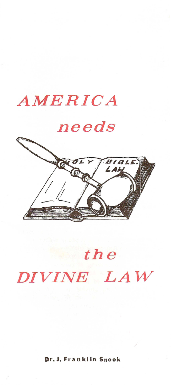

# *the DIVINE LAW*

#### Dr. J. Franklin Snook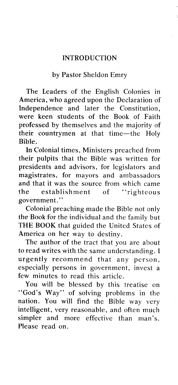#### **INTRODUCTION**

#### by Pastor Sheldon Emry

The Leaders of the English Colonies in America, who agreed upon the Declaration of Independence and later the Constitution, were keen students of the Book of Faith professed by themselves and the majority of their countrymen at that time-the Holy Bible.

**In** Colonial times, Ministers preached from their pulpits that the Bible was written for presidents and advisors, for legislators and magistrates, for mayors and ambassadors and that it was the source from which came the establishment of "righteous government."

Colonial preaching made the Bible not only the Book for the individual and the family but **THE BOOK** that guided the United States of America on her way to destiny.

The author of the tract that you are about to read writes with the same understanding. I urgently recommend that any person, especially persons in government, invest a few minutes to read this article.

You will be blessed by this treatise on "God's Way" of solving problems in the nation. You will find the Bible way very intelligent, very reasonable, and often much simpler and more effective than man's. Please read on.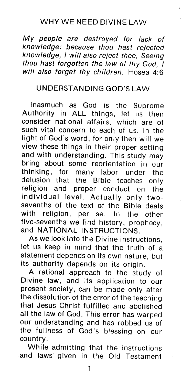## WHY WE NEED DIVINE LAW

My *people are destroyed for lack of knowledge: because thou hast rejected knowledge, I will also reject thee, Seeing thou hast forgotten the law of thy God, I will also forget thy children.* Hosea 4:6

## UNDERSTANDING GOD'S LAW

Inasmuch as God is the Supreme Authority in ALL things, let us then consider national affairs, which are of such vital concern to each of us, in the light of God's word, for only then will we view these things in their proper setting and with understanding. This study may bring about some reorientation in our<br>thinking. for many labor under the for many labor under the delusion that the Bible teaches only religion and proper conduct on the individual level. Actually only twosevenths of the text of the Bible deals with religion, per se. In the other five-sevenths we find history, prophecy, and NATIONAL INSTRUCTIONS.

As we look into the Divine instructions, let us keep in mind that the truth of a statement depends on its own nature, but its authority depends on its origin.

A rational approach to the study of Divine law, and its application to our present society, can be made only after the dissolution of the error of the teaching that Jesus Christ fulfilled and abolished all the law of God. This error has warped our understanding and has robbed us of the fullness of God's blessing on our country.

While admitting that the instructions and laws given in the Old Testament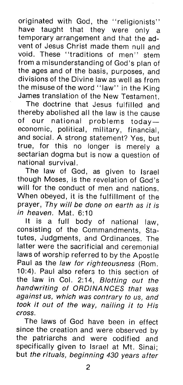originated with God, the "religionists" have taught that they were only a temporary arrangement and that the advent of Jesus Christ made them null and void. These "traditions of men" stem from a misunderstanding of God's plan of the ages and of the basis, purposes, and divisions of the Divine law as well as from the misuse of the word "law" in the King James translation of the New Testament.

The doctrine that Jesus fulfilled and thereby abolished all the law is the cause of our national problems todayeconomic, political, military, financial, and social. A strong statement? Yes, but true, for this no longer is merely a sectarian dogma but is now a question of national survival.

The law of God, as given to Israel though Moses, is the revelation of God's will for the conduct of men and nations. When obeyed, it is the fulfillment of the prayer, *Thy will be done on earth as it is in heaven.* Mat. 6:10

**It** is a full body of national law, consisting of the Commandments, Statutes, Judgments, and Ordinances. The latter were the sacrificial and ceremonial laws of worship referred to by the Apostle Paul as the *law for righteousness* (Rom. 10:4). Paul also refers to this section of the law in Col. 2:14, *Blotting out the handwriting of ORDINANCES that was against us, which was contrary to us, and took it out of the way, nailing it to His cross.*

The laws of God have been in effect since the creation and were observed by the patriarchs and were codified and specifically given to Israel at Mt. Sinai; but *the rituals, beginning 430 years after*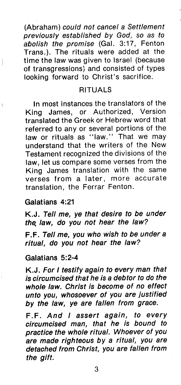(Abraham) *could not cancel* a *Settlement previously established by God, so as to abolish the promise* (Gal. 3:17, Fenton Trans.). The rituals were added at the time the law was given to Israel (because of transgressions) and consisted of types looking forward to Christ's sacrifice.

#### RITUALS

In most instances the translators of the King James, or Authorized, Version translated the Greek or Hebrew word that referred to any or several portions of the law or rituals as "law." That we may understand that the writers of the New Testament recognized the divisions of the law, let us compare some verses from the King James translation with the same verses from a later, more accurate translation, the Ferrar Fenton.

#### Galatians 4:21

K.J. *Tell me, ye that desire to be under the. law, do you not hear the law?*

F.F. *Tell me, you who wish to be under* a *ritual, do you not hear the law?*

#### Galatians 5:2-4

K.J. *For I testify again to every man that is circumcised that he is* a *debtor to do the whole law. Christ is become of no effect unto you, whosoever of you are justified by the law, ye are fallen from grace.*

F.F. *And I assert again, to every circumcised man, that he is bound to practice the whole ritual. Whoever of you are made righteous by* a *ritual, you are detached from Christ, you are fallen from the gift.*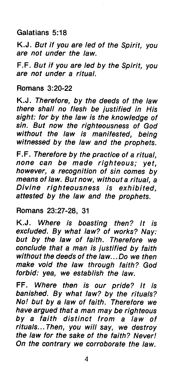## Galatians 5:18

K.J. *But if you are led of the Spirit, you are not under the law.*

F.F. *But if you are led by the Spirit, you are not under* a *ritual.*

Romans 3:20-22

K.J. *Therefore, by the deeds of the law there shall no flesh be justified in His sight: for by the law is the knowledge of sin. But now the righteousness of God without the law is manifested, being witnessed by the law and the prophets.*

F.F. *Therefore by the practice of* a *ritual, none can be made righteous; yet, however,* a *recognition of sin comes by means of law. But now, without* a *ritual,* a *Divine righteousness is exhibited, attested by the law and the prophets.*

Romans 23:27-28, 31

K.J. *Where is boasting then? It is excluded. By what law? of works? Nay: but by the law of faith. Therefore we conclude that* a *man is justified by faith without the deeds of the law ... Do* we *then make void the law through faith? God forbid: yea,* we *establish the law.*

FF. *Where then is our pride? It is banished. By what law? by the rituals? No! but by* a *law of faith. Therefore* we *have argued that* a *man may be righteous by* a *faith distinct from* a *law of rituals ... Then, you will say, we destroy the law for the sake of the faith? Never! On the contrary* we *corroborate the law.*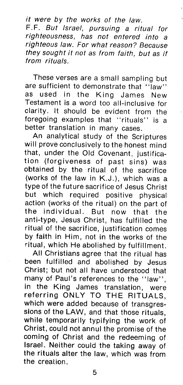*it were by the works of the law.*

F. F. *But Israel, pursuing* a *ritual for righteousness, has not entered into* a *righteous law. For what reason? Because they sought it not* as *from faith, but* as *if from rituals.*

These verses are a small sampling but are sufficient to demonstrate that "law" as used in the King James New Testament is a word too all-inclusive for clarity. It should be evident from the foregoing examples that "rituals" is a better translation in many cases.

An analytical study of the Scriptures will prove conclusively to the honest mind that, under the Old Covenant, justification (forgiveness of past sins) was obtained by the ritual of the sacrifice (works of the law in K.J.), which was a type of the future sacrifice of Jesus Christ but which required positive physical action (works of the ritual) on the part of the individual. But now that the anti-type, Jesus Christ, has fulfilled the ritual of the sacrifice, justification comes by faith in Him, not in the works of the ritual, which He abolished by fulfillment.

All Christians agree that the ritual has been fulfilled and abolished by Jesus Christ; but not all have understood that many of Paul's references to the "law", in the King James translation, were referring ONLY TO THE RITUALS, which were added because of transgressions of the LAW, and that those rituals, while temporarily typifying the work of Christ, could not annul the promise of the coming of Christ and the redeeming of Israel. Neither could the taking away of the rituals alter the law, which was from the creation.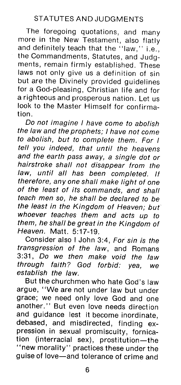The foregoing quotations, and many more in the New Testament, also flatly and definitely teach that the "law," i.e., the Commandments, Statutes, and Judgments, remain firmly established. These laws not only give us a definition of sin but are the Divinely provided guidelines for a God-pleasing, Christian life and for a righteous and prosperous nation. Let us look to the Master Himself for confirmation.

00 *not imagine I have come to abolish the law and the prophets; I have not come to abolish, but to complete them. For I tell you indeed, that until the heavens and the earth pass away,* a *single dot or hairstroke shall not disappear from the law, until all has been completed. If therefore, anyone shall make light of one of the least of its commands, and shall teach men so, he shall be declared to be the least in the Kingdom of Heaven; but whoever teaches them and acts up to them, he shall be great in the Kingdom of Heaven.* Matt. 5:17-19.

Consider also I John 3:4, *For sin is the transgression of the law,* and Romans 3:31, Do *we then make void the law through faith? God forbid: yea, we establish the law.*

But the churchmen who hate God's law argue, "We are not under law but under grace; we need only love God and one another." But even love needs direction and guidance lest it become inordinate, debased, and misdirected, finding expression in sexual promiscuity, fornication (interracial sex), prostitution-the "new morality" practices these under the guise of love-and tolerance of crime and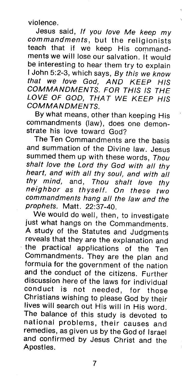violence.

Jesus said, *If you love Me keep* my *commandments,* but the religionists teach that if we keep His commandments *we* will lose our salvation. It would be interesting to hear them try to explain I John 5:2-3, which says, By *this we know that we love God, AND KEEP HIS COMMANDMENTS. FOR THIS IS THE LOVE OF* GOO, *THA T WE KEEP HIS COMMANDMENTS.*

By what means, other than keeping His commandments (law), does one demonstrate his love toward God?

The Ten Commandments are the basis and summation of the Divine law. Jesus summed them up with these words, *Thou shalt love the Lord thy God with all thy heart, and with all thy soul, and with all thy mind,* and, *Thou shalt love thy neighbor* as *th yself. On these two commandments hang all the law and the prophets.* Matt. 22:37-40.

We would do well, then, to investigate just what hangs on the Commandments. A study of the Statutes and Judgments reveals that they are the explanation and the practical applications of the Ten Commandments. They are the plan and formula for the government of the nation and the conduct of the citizens. Further discussion here of the laws for individual cond uct is not needed, for those Christians wishing to please God by their lives will search out His will in His word. The balance of this study is devoted to national problems, their causes and remedies, as given us by the God of Israel and confirmed by Jesus Christ and the Apostles.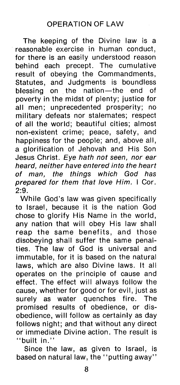The keeping of the Divine law is a reasonable exercise in human conduct, for there is an easily understood reason behind each precept. The cumulative result of obeying the Commandments, Statutes, and JUdgments is boundless blessing on the nation-the end of poverty in the midst of plenty; justice for all men; unprecedented prosperity; no military defeats nor stalemates; respect of all the world; beautiful cities; almost non-existent crime; peace, safety, and happiness for the people; and, above all, a glorification of Jehovah and His Son Jesus Christ. *Eye hath not seen, nor ear heard, neither have entered into the heart of man, the things which God has prepared for them that love Him.* I Cor. 2:9.

While God's law was given specifically to Israel, because it is the nation God chose to glorify His Name in the world, any nation that will obey His law shall reap the same benefits, and those disobeying shall suffer the same penalties. The law of God is universal and immutable, for it is based on the natural laws, which are also Divine laws. It all operates on the principle of cause and effect. The effect will always follow the cause, whether for good or for evil, just as surely as water quenches fire. The promised results of obedience, or disobedience, will follow as certainly as day follows night; and that without any direct or immediate Divine action. The result is "built in."

Since the law, as given to Israel, is based on natural law, the "putting away"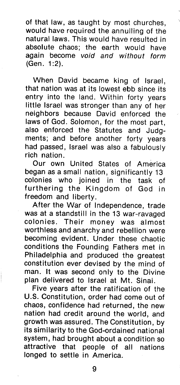of that law, as taught by most churches, would have required the annulling of the natural laws. This would have resulted in absolute chaos; the earth would have again become *void and without form* (Gen. 1:2).

When David became king of Israel, that nation was at its lowest ebb since its entry into the land. Within forty years little Israel was stronger than any of her neighbors because David enforced the laws of God. Solomon, for the most part, also enforced the Statutes and Judgments; and before another forty years had passed, Israel was also a fabulously rich nation.

Our own United States of America began as a small nation, significantly 13 colonies who joined in the task of furthering the Kingdom of God in freedom and liberty.

After the War of Independence, trade was at a standstill in the 13 war-ravaged colonies. Their money was almost worthless and anarchy and rebellion were becoming evident. Under these chaotic conditions the Founding Fathers met in Philadelphia and produced the greatest constitution ever devised by the mind of man. It was second only to the Divine plan delivered to Israel at Mt. Sinai.

Five years after the ratification of the U.S. Constitution, order had come out of chaos, confidence had returned, the new nation had credit around the world, and growth was assured. The Constitution, by its similarity to the God-ordained national system, had brought about a condition so attractive that people of all nations longed to settle in America.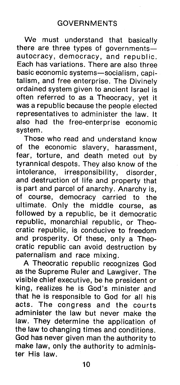We must understand that basically there are three types of governmentsautocracy, democracy, and republic. Each has variations. There are also three basic economic systems-socialism, capitalism, and free enterprise. The Divinely ordained system given to ancient Israel is often referred to as a Theocracy, yet it was a republic because the people elected representatives to administer the law. It also had the free-enterprise economic system.

Those who read and understand know of the economic slavery, harassment, fear, torture, and death meted out by tyrannical despots. They also know of the intolerance, irresponsibility, disorder, and destruction of life and property that is part and parcel of anarchy. Anarchy is, of course, democracy carried to the ultimate. Only the middle course, as followed by a republic, be it democratic republic, monarchial republic, or Theocratic republic, is conducive to freedom and prosperity. Of these, only a Theocratic republic can avoid destruction by paternalism and race mixing.

A Theocratic republic recognizes God as the Supreme Ruler and Lawgiver. The visible chief executive, be he president or king, realizes he is God's minister and that he is responsible to God for all his acts. The congress and the courts administer the law but never make the law. They determine the application of the law to changing times and conditions. God has never given man the authority to make law, only the authority to administer His law.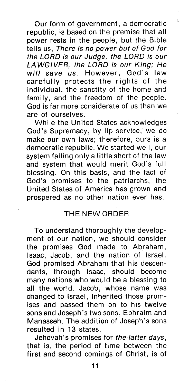Our form of government, a democratic republic, is based on the premise that all power rests in the people, but the Bible tells us, *There is no power but of God for the LORD is our Judge, the LORD is our LA WGIVER, the LORD is our King; He will save us.* However, God's law carefully protects the rights of the individual, the sanctity of the home and family, and the freedom of the people. God is far more considerate of us than we are of ourselves.

While the United States acknowledges God's Supremacy, by lip service, we do make our own laws; therefore, ours is a democratic republic. We started well, our system falling only a little short of the law and system that would merit God's full blessing. On this basis, and the fact of God's promises to the patriarchs, the United States of America has grown and prospered as no other nation ever has.

#### THE NEW ORDER

To understand thoroughly the development of our nation, we should consider the promises God made to Abraham, Isaac, Jacob, and the nation of Israel. God promised Abraham that his descendants, through Isaac, should become many nations who would be a blessing to all the world. Jacob, whose name was changed to Israel, inherited those promises and passed them on to his twelve sons and Joseph's two sons, Ephraim and Manasseh. The addition of Joseph's sons resulted in 13 states.

Jehovah's promises for *the latter days,* that is, the period of time between the first and second comings of Christ, is of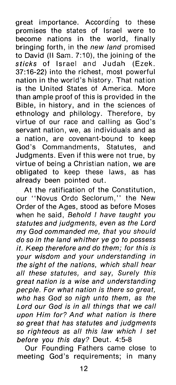great importance. According to these promises the states of Israel were to become nations in the world, finally bringing forth, in the *new land* promised to David (II Sam. 7:10), the joining of the *sticks* of Israel and Judah (Ezek. 37:16-22) into the richest, most powerful nation in the world's history. That nation is the United States of America. More than ample proof of this is provided in the Bible, in history, and in the sciences of ethnology and philology. Therefore, by virtue of our race and calling as God's servant nation, we, as individuals and as a nation, are covenant-bound to keep God's Commandments, Statutes, and Judgments. Even if this were not true, by virtue of being a Christian nation, we are obligated to keep these laws. as has already been pointed out.

At the ratification of the Constitution, our "Novus Ordo Seclorum," the New Order of the Ages, stood as before Moses when he said, *Behold I have taught you statutes and judgments, even* as *the Lord* my *God commanded me, that you should do* so *in the land whither* ye *go to possess it. Keep therefore and do them; for this is your wisdom and your understanding in the sight of the nations, which shall hear all these statutes, and say, Surely this great nation is* a *wise and understanding peeple. For what nation is there* so *great, who has God* so *nigh unto them,* as *the Lord our God is in all things that we call upon Him for? And what nation is there* so *great that has statutes and judgments* so *righteous* as *all this law which I set before you this day?* Deut. 4:5-8

Our Founding Fathers came close to meeting God's requirements; in many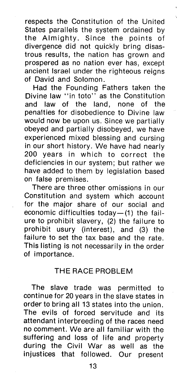respects the Constitution of the United States parallels the system ordained by the Almighty. Since the points of divergence did not quickly bring disastrous results, the nation has grown and prospered as no nation ever has, except ancient Israel under the righteous reigns of David and Solomon.

Had the Founding Fathers taken the Divine law "in toto" as the Constitution and law of the land, none of the penalties for disobedience to Divine law would now be upon us. Since we partially obeyed and partially disobeyed, we have experienced mixed blessing and cursing in our short history. We have had nearly 200 years in which to correct the deficiencies in our system; but rather we have added to them by legislation based on false premises.

There are three other omissions in our Constitution and system which account for the major share of our social and economic difficulties today-(1) the failure to prohibit Slavery, (2) the failure to prohibit usury (interest), and (3) the failure to set the tax base and the rate. This listing is not necessarily in the order of importance.

## THE RACE PROBLEM

The slave trade was permitted to continue for 20 years in the slave states in order to bring all 13 states into the union. The evils of forced servitude and its attendant interbreeding of the races need no comment. We are all familiar with the suffering and loss of Iife and property during the Civil War as well as the injustices that followed. Our present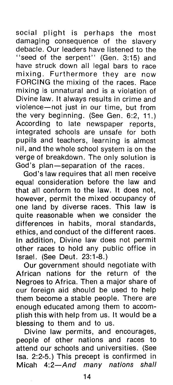social plight is perhaps the most damaging consequence of the slavery debacle. Our leaders have listened to the "seed of the serpent" (Gen. 3:15) and have struck down all legal bars to race mixing. Furthermore they are now FORCING the mixing of the races. Race mixing is unnatural and is a violation of Divine law. It always results in crime and violence-not just in our time, but from the very beginning. (See Gen. 6:2, 11.) According to late newspaper reports, integrated schools are unsafe for both pupils and teachers, learning is almost nil, and the whole school system is on the verge of breakdown. The only solution is God's plan-separation of the races.

God's law requires that all men receive equal consideration before the law and that all conform to the law. It does not, however, permit the mixed occupancy of one land by diverse races. This law is quite reasonable when we consider the differences in habits, moral standards, ethics, and conduct of the different races. In addition, Divine law does not permit other races to hold any public office in Israel. (See Deut. 23:1-8.)

Our government should negotiate with African nations for the return of the Negroes to Africa. Then a major share of our foreign aid should be used to help them become a stable people. There are enough educated among them to accomplish this with help from us. It would be a blessing to them and to us.

Divine law permits, and encourages, people of other nations and races to attend our schools and universities. (See Isa. 2:2-5.) This precept is confirmed in Micah *4:2-And many nations shall*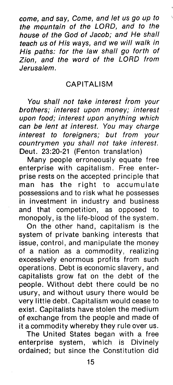*come, and say, Come, and let us go up to the mountain of the LORD, and to the house of the God of Jacob; and He shall teach us of His ways, and* we *will walk in His paths: for the law shall go forth of Zion, and the word of the LORD from Jerusalem.*

### **CAPITALISM**

*You shall not take interest from your brothers; interest upon money; interest upon food; interest upon anything which can be lent at interest. You may charge interest to foreigners; but from your countrymen you shall not take interest.* Deut. 23:20-21 (Fenton translation)

Many people erroneously equate free enterprise with capitalism. Free enterprise rests on the accepted principle that man has the right to accumulate possessions and to risk what he possesses in investment in industry and business and that competition, as opposed to monopoly, is the life-blood of the system.

On the other hand, capitalism is the system of private banking interests that issue, control, and manipulate the money of a nation as a commodity, realizing excessively enormous profits from such operations. Debt is economic slavery, and capitalists grow fat on the debt of the people. Without debt there could be no usury, and without usury there would be very little debt. Capitalism would cease to exist. Capitalists have stolen the medium of exchange from the people and made of it a commodity whereby they rule over us.

The United States began with a free enterprise system, which is Divinely ordained; but since the Constitution did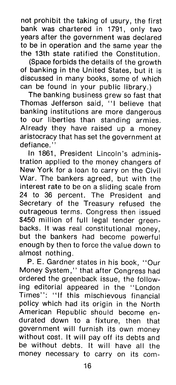not prohibit the taking of usury, the first bank was chartered in 1791, only two years after the government was declared to be in operation and the same year the the 13th state ratified the Constitution.

(Space forbids the details of the growth of banking in the United States, but it is discussed in many books, some of which can be found in your public library.)

The banking business grew so fast that Thomas Jefferson said, "I believe that banking institutions are more dangerous to our liberties than standing armies. Already they have raised up a money aristocracy that has set the government at defiance.<sup>'</sup>

In 1861, President Lincoln's administration applied to the money changers of New York for a loan to carry on the Civil War. The bankers agreed, but with the interest rate to be on a sliding scale from 24 to 36 percent. The President and Secretary of the Treasury refused the outrageous terms. Congress then issued \$450 million of full legal tender greenbacks. It was real constitutional money, but the bankers had become powerful enough by then to force the value down to almost nothing.

P. E. Gardner states in his book, "Our Money System," that after Congress had ordered the greenback issue, the following editorial appeared in the "London Times": "If this mischievous financial policy which had its origin in the North American Republic should become endurated down to a fixture, then that government will furnish its own money without cost. It will payoff its debts and be without debts. It will have all the money necessary to carry on its com-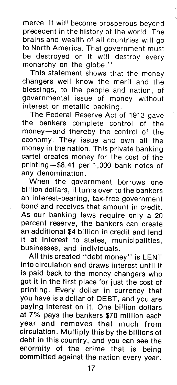merce. It will become prosperous beyond precedent in the history of the world. The brains and wealth of all countries will go to North America. That government must be destroyed or it will destroy every monarchy on the globe."

This statement shows that the money changers well know the merit and the blessings, to the people and nation, of governmental issue of money without interest or metallic backing.

The Federal Reserve Act of 1913 gave the bankers complete control of the money-and thereby the control of the economy. They issue and own all the money in the nation. This private banking cartel creates money for the cost of the printing- $$8.41$  per  $1,000$  bank notes of any denomination.

When the government borrows one billion dollars, it turns over to the bankers an interest-bearing, tax-free government bond and receives that amount in credit. As our banking laws require only a 20 percent reserve, the bankers can create an additional \$4 billion in credit and lend it at interest to states, municipalities, businesses, and individuals.

All this created "debt money" is LENT into circulation and draws interest until it is paid back to the money changers who got it in the first place for just the cost of printing. Every dollar in currency that you have is a dollar of DEBT, and you are paying interest on it. One billion dollars at 7% pays the bankers \$70 million each year and removes that much from circulation. Multiply this by the billions of debt in this country, and you can see the enormity of the crime that is being committed against the nation every year.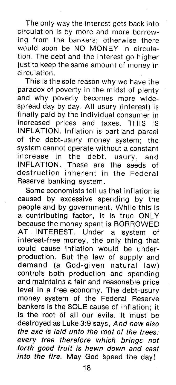The only way the interest gets back into circulation is by more and more borrowing from the bankers; otherwise there would soon be NO MONEY in circulation. The debt and the interest go higher just to keep the same amount of money in circulation.

This is the sole reason why we have the paradox of poverty in the midst of plenty and why poverty becomes more widespread day by day. All usury (interest) is finally paid by the individual consumer in increased prices and taxes. THIS IS INFLATION. Inflation is part and parcel of the debt-usury money system; the system cannot operate without a constant increase in the debt, usury, and<br>INFLATION. These are the seeds of INFLATION. These are destruction inherent in the Federal Reserve banking system.

Some economists tell us that inflation is caused by excessive spending by the people and by government. While this is a contributing factor, it is true ONLY because the money spent is BORROWED AT INTEREST. Under a system of interest-free money, the only thing that could cause inflation would be underproduction. But the law of supply and demand (a God-given natural law) control's both production and spending and maintains a fair and reasonable price level in a free economy. The debt-usury money system of the Federal Reserve bankers is the SOLE cause of inflation; it is the root of all our evils. It must be destroyed as Luke 3:9 says, *And now also the axe is laid unto the root of the trees: every tree therefore which brings not forth good fruit is hewn down and cast into the fire.* May God speed the day!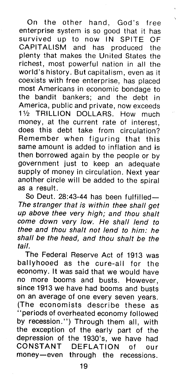On the other hand, God's free enterprise system is so good that it has survived up to now IN SPITE OF CAPITALISM and has produced the plenty that makes the United States the richest, most powerful nation in all the world's history. But capitalism, even as it coexists with free enterprise, has placed most Americans in economic bondage to the bandit bankers; and the debt in America, public and private, now exceeds 11/2 TRILLION DOLLARS. How much money, at the current rate of interest, does this debt take from circulation? Remember when figuring that this same amount is added to inflation and is then borrowed again by the people or by government just to keep an adequate supply of money in circulation. Next year another circle will be added to the spiral as a result.

So Deut. 28:43-44 has been fulfilled-*The stranger that is within thee shall get up above thee very high; and thou shalt come down very low. He shall lend to thee and thou shalt not lend to him: he shall be the head, and thou shalt be the tai/.*

The Federal Reserve Act of 1913 was ballyhooed as the cure-all for the economy. **It** was said that we would have no more booms and busts. However, since 1913 we have had booms and busts on an average of one every seven years. (The economists describe these as "periods of overheated economy followed by recession.") Through them all, with the exception of the early part of the depression of the 1930's, we have had CONSTANT DEFLATION of our money-even through the recessions.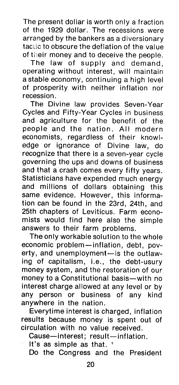The present dollar is worth only a fraction of the 1929 dollar. The recessions were arranged by the bankers as a diversionary tactic to obscure the deflation of the value of their money and to deceive the people.

The law of supply and demand, operating without interest, will maintain a stable economy, continuing a high level of prosperity with neither inflation nor recession.

The Divine law provides Seven-Year Cycles and Fifty-Year Cycles in business and agriculture for the benefit of the people and the nation. All modern economists, regardless of their knowledge or ignorance of Divine law, do recognize that there is a seven-year cycle governing the ups and downs of business and that a crash comes every fifty years. Statisticians have expended much energy and millions of dollars obtaining this same evidence. However, this information can be found in the 23rd, 24th, and 25th chapters of Leviticus. Farm economists would find here also the simple answers to their farm problems.

The only workable solution to the whole economic problem-inflation, debt, poverty, and unemployment-is the outlawing of capitalism, i.e., the debt-usury money system, and the restoration of our money to a Constitutional basis-with no interest charge allowed at any level or by any person or business of any kind anywhere in the nation.

Everytime interest is charged, inflation results because money is spent out of circulation with no value received.

Cause-interest; result-inflation.

It's as simple as that.  $\sqrt[n]{ }$ 

Do the Congress and the President